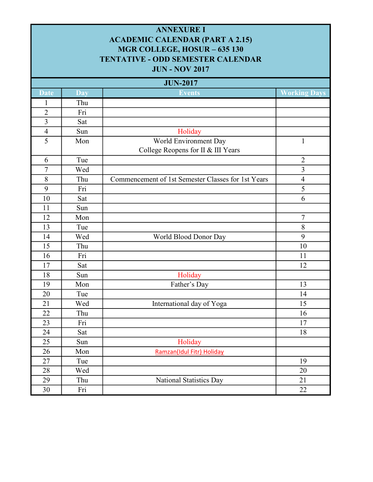| <b>ANNEXURE I</b><br><b>ACADEMIC CALENDAR (PART A 2.15)</b><br>MGR COLLEGE, HOSUR - 635 130<br><b>TENTATIVE - ODD SEMESTER CALENDAR</b><br><b>JUN - NOV 2017</b> |            |                                                    |                     |  |
|------------------------------------------------------------------------------------------------------------------------------------------------------------------|------------|----------------------------------------------------|---------------------|--|
|                                                                                                                                                                  |            | <b>JUN-2017</b>                                    |                     |  |
| <b>Date</b>                                                                                                                                                      | <b>Day</b> | <b>Events</b>                                      | <b>Working Days</b> |  |
| 1                                                                                                                                                                | Thu        |                                                    |                     |  |
| $\overline{2}$                                                                                                                                                   | Fri        |                                                    |                     |  |
| $\overline{3}$                                                                                                                                                   | Sat        |                                                    |                     |  |
| $\overline{4}$                                                                                                                                                   | Sun        | Holiday                                            |                     |  |
| 5                                                                                                                                                                | Mon        | World Environment Day                              | 1                   |  |
|                                                                                                                                                                  |            | College Reopens for II & III Years                 |                     |  |
| 6                                                                                                                                                                | Tue        |                                                    | $\overline{2}$      |  |
| $\overline{7}$                                                                                                                                                   | Wed        |                                                    | $\overline{3}$      |  |
| 8                                                                                                                                                                | Thu        | Commencement of 1st Semester Classes for 1st Years | $\overline{4}$      |  |
| 9                                                                                                                                                                | Fri        |                                                    | 5                   |  |
| 10                                                                                                                                                               | Sat        |                                                    | 6                   |  |
| 11                                                                                                                                                               | Sun        |                                                    |                     |  |
| 12                                                                                                                                                               | Mon        |                                                    | $\overline{7}$      |  |
| 13                                                                                                                                                               | Tue        |                                                    | 8                   |  |
| 14                                                                                                                                                               | Wed        | World Blood Donor Day                              | 9                   |  |
| 15                                                                                                                                                               | Thu        |                                                    | 10                  |  |
| 16                                                                                                                                                               | Fri        |                                                    | 11                  |  |
| 17                                                                                                                                                               | Sat        |                                                    | 12                  |  |
| 18                                                                                                                                                               | Sun        | Holiday                                            |                     |  |
| 19                                                                                                                                                               | Mon        | Father's Day                                       | 13                  |  |
| $20\,$                                                                                                                                                           | Tue        |                                                    | 14                  |  |
| 21                                                                                                                                                               | Wed        | International day of Yoga                          | 15                  |  |
| 22                                                                                                                                                               | Thu        |                                                    | 16                  |  |
| 23                                                                                                                                                               | Fri        |                                                    | 17                  |  |
| 24                                                                                                                                                               | Sat        |                                                    | 18                  |  |
| 25                                                                                                                                                               | Sun        | Holiday                                            |                     |  |
| 26                                                                                                                                                               | Mon        | Ramzan(Idul Fitr) Holiday                          |                     |  |
| 27                                                                                                                                                               | Tue        |                                                    | 19                  |  |
| 28                                                                                                                                                               | Wed        |                                                    | 20                  |  |
| 29                                                                                                                                                               | Thu        | National Statistics Day                            | 21                  |  |
| 30                                                                                                                                                               | Fri        |                                                    | $\overline{22}$     |  |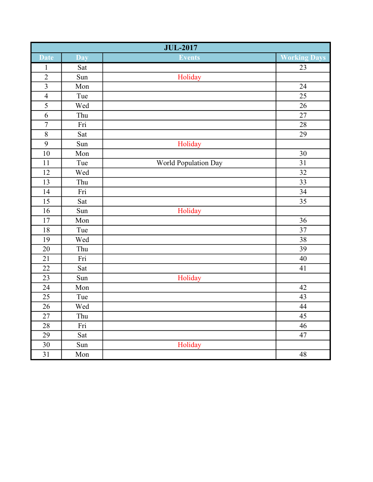|                         | <b>JUL-2017</b>      |                      |                     |  |
|-------------------------|----------------------|----------------------|---------------------|--|
| <b>Date</b>             | Day                  | Events               | <b>Working Days</b> |  |
| $\mathbf{1}$            | Sat                  |                      | 23                  |  |
| $\overline{2}$          | Sun                  | Holiday              |                     |  |
| $\overline{\mathbf{3}}$ | Mon                  |                      | 24                  |  |
|                         | Tue                  |                      | 25                  |  |
| $\frac{4}{5}$           | Wed                  |                      | $\overline{26}$     |  |
| $\overline{6}$          | Thu                  |                      | 27                  |  |
| $\overline{7}$          | Fri                  |                      | $\overline{28}$     |  |
| $\overline{\bf 8}$      | Sat                  |                      | 29                  |  |
| $\overline{9}$          | Sun                  | Holiday              |                     |  |
| 10                      | Mon                  |                      | 30                  |  |
| $\overline{11}$         | Tue                  | World Population Day | $\overline{31}$     |  |
| 12                      | Wed                  |                      | $\overline{32}$     |  |
| $\overline{13}$         | Thu                  |                      | $\overline{33}$     |  |
| 14                      | Fri                  |                      | 34                  |  |
| $\overline{15}$         | Sat                  |                      | $\overline{35}$     |  |
| 16                      | Sun                  | Holiday              |                     |  |
| $\overline{17}$         | Mon                  |                      | $\overline{36}$     |  |
| 18                      | Tue                  |                      | 37                  |  |
| $\overline{19}$         | Wed                  |                      | $\overline{38}$     |  |
| 20                      | Thu                  |                      | 39                  |  |
| $\overline{21}$         | Fri                  |                      | $\overline{40}$     |  |
| 22                      | Sat                  |                      | 41                  |  |
| $\overline{23}$         | Sun                  | Holiday              |                     |  |
| 24                      | $\operatorname{Mon}$ |                      | 42                  |  |
| 25                      | Tue                  |                      | 43                  |  |
| 26                      | Wed                  |                      | 44                  |  |
| 27                      | Thu                  |                      | $\overline{45}$     |  |
| 28                      | Fri                  |                      | 46                  |  |
| 29                      | Sat                  |                      | 47                  |  |
| 30                      | Sun                  | Holiday              |                     |  |
| $\overline{31}$         | Mon                  |                      | 48                  |  |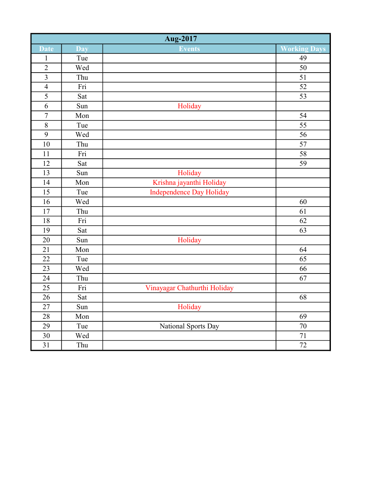| Aug-2017        |                         |                                 |                     |
|-----------------|-------------------------|---------------------------------|---------------------|
| <b>Date</b>     | <b>Day</b>              | <b>Events</b>                   | <b>Working Days</b> |
| $\mathbf{1}$    | Tue                     |                                 | 49                  |
| $\overline{c}$  | Wed                     |                                 | 50                  |
| $\overline{3}$  | Thu                     |                                 | $\overline{51}$     |
| $\overline{4}$  | Fri                     |                                 | 52                  |
| $\overline{5}$  | Sat                     |                                 | $\overline{53}$     |
| $\overline{6}$  | Sun                     | Holiday                         |                     |
| $\overline{7}$  | Mon                     |                                 | $\overline{54}$     |
| 8               | Tue                     |                                 | 55                  |
| $\overline{9}$  | Wed                     |                                 | $\overline{56}$     |
| 10              | Thu                     |                                 | 57                  |
| 11              | $\overline{\text{Fri}}$ |                                 | $\overline{58}$     |
| 12              | Sat                     |                                 | 59                  |
| 13              | Sun                     | Holiday                         |                     |
| 14              | Mon                     | Krishna jayanthi Holiday        |                     |
| 15              | Tue                     | <b>Independence Day Holiday</b> |                     |
| 16              | Wed                     |                                 | 60                  |
| $17\,$          | Thu                     |                                 | 61                  |
| $18\,$          | Fri                     |                                 | 62                  |
| 19              | Sat                     |                                 | 63                  |
| 20              | Sun                     | Holiday                         |                     |
| 21              | Mon                     |                                 | 64                  |
| 22              | Tue                     |                                 | 65                  |
| $\overline{23}$ | Wed                     |                                 | 66                  |
| 24              | Thu                     |                                 | 67                  |
| 25              | Fri                     | Vinayagar Chathurthi Holiday    |                     |
| 26              | Sat                     |                                 | 68                  |
| 27              | Sun                     | Holiday                         |                     |
| 28              | Mon                     |                                 | 69                  |
| 29              | Tue                     | National Sports Day             | 70                  |
| 30              | Wed                     |                                 | $71\,$              |
| 31              | Thu                     |                                 | 72                  |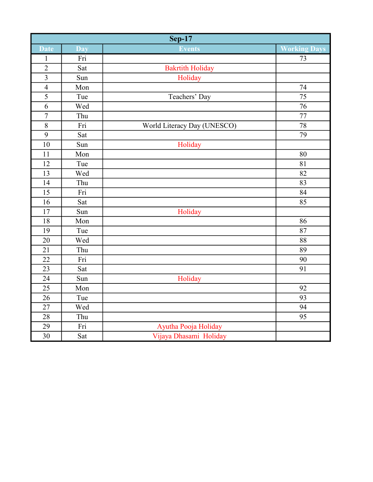|                 | <b>Sep-17</b> |                             |                     |  |
|-----------------|---------------|-----------------------------|---------------------|--|
| <b>Date</b>     | Day           | Events                      | <b>Working Days</b> |  |
| $\mathbf{1}$    | Fri           |                             | 73                  |  |
| $\overline{2}$  | Sat           | <b>Bakrtith Holiday</b>     |                     |  |
| $\overline{3}$  | Sun           | Holiday                     |                     |  |
| $\overline{4}$  | Mon           |                             | 74                  |  |
| $\overline{5}$  | Tue           | Teachers' Day               | $\overline{75}$     |  |
| 6               | Wed           |                             | 76                  |  |
| $\sqrt{ }$      | Thu           |                             | $77 \,$             |  |
| $\overline{8}$  | Fri           | World Literacy Day (UNESCO) | 78                  |  |
| $\overline{9}$  | Sat           |                             | 79                  |  |
| $\overline{10}$ | Sun           | Holiday                     |                     |  |
| 11              | Mon           |                             | 80                  |  |
| 12              | Tue           |                             | 81                  |  |
| 13              | Wed           |                             | 82                  |  |
| 14              | Thu           |                             | 83                  |  |
| 15              | Fri           |                             | 84                  |  |
| 16              | Sat           |                             | 85                  |  |
| 17              | Sun           | Holiday                     |                     |  |
| 18              | Mon           |                             | 86                  |  |
| 19              | Tue           |                             | 87                  |  |
| 20              | Wed           |                             | 88                  |  |
| 21              | Thu           |                             | 89                  |  |
| 22              | Fri           |                             | 90                  |  |
| 23              | Sat           |                             | 91                  |  |
| 24              | Sun           | Holiday                     |                     |  |
| 25              | Mon           |                             | 92                  |  |
| 26              | Tue           |                             | 93                  |  |
| 27              | Wed           |                             | 94                  |  |
| 28              | Thu           |                             | 95                  |  |
| 29              | Fri           | Ayutha Pooja Holiday        |                     |  |
| $\overline{30}$ | Sat           | Vijaya Dhasami Holiday      |                     |  |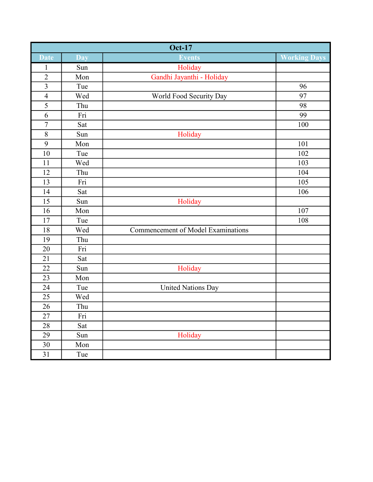|                         | <b>Oct-17</b>           |                                           |                     |  |
|-------------------------|-------------------------|-------------------------------------------|---------------------|--|
| <b>Date</b>             | Day                     | <b>Events</b>                             | <b>Working Days</b> |  |
| $\mathbf{1}$            | Sun                     | Holiday                                   |                     |  |
| $\overline{2}$          | Mon                     | Gandhi Jayanthi - Holiday                 |                     |  |
| $\overline{\mathbf{3}}$ | Tue                     |                                           | 96                  |  |
| $\overline{4}$          | Wed                     | World Food Security Day                   | 97                  |  |
| $\overline{5}$          | Thu                     |                                           | 98                  |  |
| $\overline{6}$          | Fri                     |                                           | 99                  |  |
| $\overline{7}$          | Sat                     |                                           | 100                 |  |
| $8\,$                   | Sun                     | Holiday                                   |                     |  |
| 9                       | Mon                     |                                           | 101                 |  |
| $10\,$                  | Tue                     |                                           | 102                 |  |
| 11                      | Wed                     |                                           | 103                 |  |
| 12                      | Thu                     |                                           | 104                 |  |
| 13                      | Fri                     |                                           | 105                 |  |
| 14                      | Sat                     |                                           | 106                 |  |
| 15                      | Sun                     | Holiday                                   |                     |  |
| 16                      | Mon                     |                                           | 107                 |  |
| 17                      | Tue                     |                                           | 108                 |  |
| $18\,$                  | Wed                     | <b>Commencement of Model Examinations</b> |                     |  |
| 19                      | Thu                     |                                           |                     |  |
| 20                      | Fri                     |                                           |                     |  |
| 21                      | Sat                     |                                           |                     |  |
| $22\,$                  | Sun                     | Holiday                                   |                     |  |
| 23                      | Mon                     |                                           |                     |  |
| 24                      | Tue                     | <b>United Nations Day</b>                 |                     |  |
| 25                      | Wed                     |                                           |                     |  |
| 26                      | Thu                     |                                           |                     |  |
| 27                      | $\overline{\text{Fri}}$ |                                           |                     |  |
| 28                      | Sat                     |                                           |                     |  |
| 29                      | Sun                     | Holiday                                   |                     |  |
| 30                      | Mon                     |                                           |                     |  |
| 31                      | Tue                     |                                           |                     |  |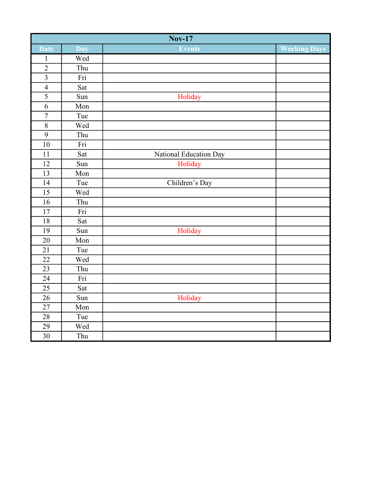|                         | $\overline{\text{Nov-17}}$ |                        |                     |  |
|-------------------------|----------------------------|------------------------|---------------------|--|
| <b>Date</b>             | Day                        | <b>Events</b>          | <b>Working Days</b> |  |
| $\mathbf{1}$            | Wed                        |                        |                     |  |
| $\overline{2}$          | Thu                        |                        |                     |  |
| $\overline{\mathbf{3}}$ | Fri                        |                        |                     |  |
| $\overline{4}$          | Sat                        |                        |                     |  |
| $\overline{5}$          | Sun                        | Holiday                |                     |  |
| $\overline{6}$          | Mon                        |                        |                     |  |
| $\overline{7}$          | Tue                        |                        |                     |  |
| $\overline{\bf 8}$      | Wed                        |                        |                     |  |
| $\overline{9}$          | Thu                        |                        |                     |  |
| $\overline{10}$         | Fri                        |                        |                     |  |
| $\overline{11}$         | Sat                        | National Education Day |                     |  |
| 12                      | Sun                        | Holiday                |                     |  |
| $\overline{13}$         | Mon                        |                        |                     |  |
| 14                      | Tue                        | Children's Day         |                     |  |
| $\overline{15}$         | Wed                        |                        |                     |  |
| 16                      | Thu                        |                        |                     |  |
| 17                      | Fri                        |                        |                     |  |
| 18                      | Sat                        |                        |                     |  |
| 19                      | Sun                        | Holiday                |                     |  |
| $\overline{20}$         | Mon                        |                        |                     |  |
| 21                      | Tue                        |                        |                     |  |
| 22                      | Wed                        |                        |                     |  |
| 23                      | Thu                        |                        |                     |  |
| $\overline{24}$         | Fri                        |                        |                     |  |
| 25                      | Sat                        |                        |                     |  |
| $\overline{26}$         | Sun                        | Holiday                |                     |  |
| 27                      | Mon                        |                        |                     |  |
| 28                      | Tue                        |                        |                     |  |
| 29                      | Wed                        |                        |                     |  |
| 30                      | Thu                        |                        |                     |  |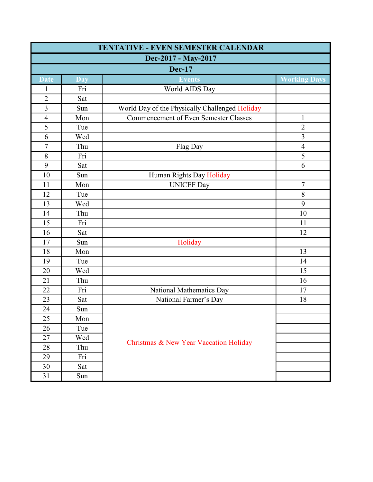| TENTATIVE - EVEN SEMESTER CALENDAR |            |                                                |                     |  |
|------------------------------------|------------|------------------------------------------------|---------------------|--|
| Dec-2017 - May-2017                |            |                                                |                     |  |
| <b>Dec-17</b>                      |            |                                                |                     |  |
| <b>Date</b>                        | <b>Day</b> | <b>Events</b>                                  | <b>Vorking Days</b> |  |
| $\mathbf{1}$                       | Fri        | World AIDS Day                                 |                     |  |
| $\overline{2}$                     | Sat        |                                                |                     |  |
| $\overline{3}$                     | Sun        | World Day of the Physically Challenged Holiday |                     |  |
| $\overline{4}$                     | Mon        | <b>Commencement of Even Semester Classes</b>   | $\mathbf{1}$        |  |
| 5                                  | Tue        |                                                | $\overline{2}$      |  |
| 6                                  | Wed        |                                                | $\overline{3}$      |  |
| $\tau$                             | Thu        | Flag Day                                       | $\overline{4}$      |  |
| 8                                  | Fri        |                                                | 5                   |  |
| 9                                  | Sat        |                                                | 6                   |  |
| 10                                 | Sun        | Human Rights Day Holiday                       |                     |  |
| 11                                 | Mon        | <b>UNICEF Day</b>                              | $\overline{7}$      |  |
| 12                                 | Tue        |                                                | 8                   |  |
| 13                                 | Wed        |                                                | 9                   |  |
| 14                                 | Thu        |                                                | 10                  |  |
| 15                                 | Fri        |                                                | 11                  |  |
| 16                                 | Sat        |                                                | 12                  |  |
| 17                                 | Sun        | Holiday                                        |                     |  |
| 18                                 | Mon        |                                                | 13                  |  |
| 19                                 | Tue        |                                                | 14                  |  |
| 20                                 | Wed        |                                                | 15                  |  |
| 21                                 | Thu        |                                                | 16                  |  |
| 22                                 | Fri        | National Mathematics Day                       | 17                  |  |
| 23                                 | Sat        | National Farmer's Day                          | 18                  |  |
| 24                                 | Sun        |                                                |                     |  |
| 25                                 | Mon        |                                                |                     |  |
| 26                                 | Tue        |                                                |                     |  |
| 27                                 | Wed        | Christmas & New Year Vaccation Holiday         |                     |  |
| 28                                 | Thu        |                                                |                     |  |
| 29                                 | Fri        |                                                |                     |  |
| 30                                 | Sat        |                                                |                     |  |
| 31                                 | Sun        |                                                |                     |  |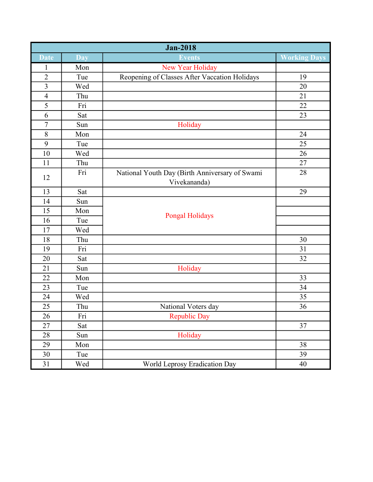| <b>Jan-2018</b>         |            |                                                |                     |
|-------------------------|------------|------------------------------------------------|---------------------|
| <b>Date</b>             | <b>Day</b> | <b>Events</b>                                  | <b>Working Days</b> |
| $\mathbf{1}$            | Mon        | New Year Holiday                               |                     |
| $\overline{2}$          | Tue        | Reopening of Classes After Vaccation Holidays  | 19                  |
| $\overline{\mathbf{3}}$ | Wed        |                                                | 20                  |
| $\overline{4}$          | Thu        |                                                | 21                  |
| 5                       | Fri        |                                                | 22                  |
| 6                       | Sat        |                                                | 23                  |
| $\boldsymbol{7}$        | Sun        | Holiday                                        |                     |
| $\,8\,$                 | Mon        |                                                | 24                  |
| $\mathbf{9}$            | Tue        |                                                | 25                  |
| 10                      | Wed        |                                                | 26                  |
| 11                      | Thu        |                                                | 27                  |
| 12                      | Fri        | National Youth Day (Birth Anniversary of Swami | 28                  |
|                         |            | Vivekananda)                                   |                     |
| 13                      | Sat        |                                                | 29                  |
| 14                      | Sun        |                                                |                     |
| 15                      | Mon        | <b>Pongal Holidays</b>                         |                     |
| 16                      | Tue        |                                                |                     |
| 17                      | Wed        |                                                |                     |
| 18                      | Thu        |                                                | 30                  |
| 19                      | Fri        |                                                | 31                  |
| 20                      | Sat        |                                                | 32                  |
| 21                      | Sun        | Holiday                                        |                     |
| 22                      | Mon        |                                                | 33                  |
| 23                      | Tue        |                                                | 34                  |
| 24                      | Wed        |                                                | 35                  |
| 25                      | Thu        | National Voters day                            | 36                  |
| 26                      | Fri        | <b>Republic Day</b>                            |                     |
| 27                      | Sat        |                                                | 37                  |
| 28                      | Sun        | Holiday                                        |                     |
| 29                      | Mon        |                                                | 38                  |
| 30                      | Tue        |                                                | 39                  |
| 31                      | Wed        | World Leprosy Eradication Day                  | 40                  |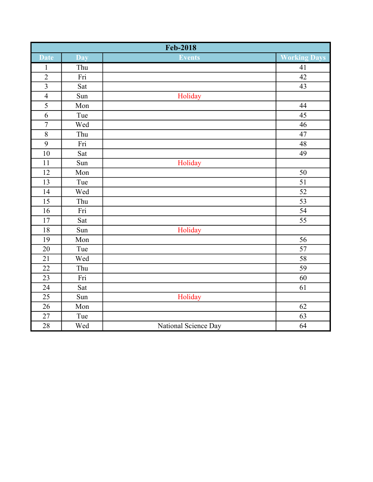| <b>Feb-2018</b>    |     |                      |                     |
|--------------------|-----|----------------------|---------------------|
| <b>Date</b>        | Day | <b>Events</b>        | <b>Working Days</b> |
| $\mathbf{1}$       | Thu |                      | 41                  |
| $\overline{c}$     | Fri |                      | $\overline{42}$     |
| $\overline{3}$     | Sat |                      | $\overline{43}$     |
| $\overline{4}$     | Sun | Holiday              |                     |
| $\overline{5}$     | Mon |                      | 44                  |
| $\overline{6}$     | Tue |                      | $\overline{45}$     |
| $\overline{7}$     | Wed |                      | 46                  |
| $\overline{\bf 8}$ | Thu |                      | $47\,$              |
| $\overline{9}$     | Fri |                      | 48                  |
| $10\,$             | Sat |                      | 49                  |
| 11                 | Sun | Holiday              |                     |
| $12\,$             | Mon |                      | 50                  |
| 13                 | Tue |                      | 51                  |
| 14                 | Wed |                      | $\overline{52}$     |
| 15                 | Thu |                      | $\overline{53}$     |
| $\overline{16}$    | Fri |                      | $\overline{54}$     |
| $17\,$             | Sat |                      | $\overline{55}$     |
| 18                 | Sun | Holiday              |                     |
| 19                 | Mon |                      | $\overline{56}$     |
| 20                 | Tue |                      | 57                  |
| $21\,$             | Wed |                      | $\overline{58}$     |
| 22                 | Thu |                      | 59                  |
| 23                 | Fri |                      | 60                  |
| 24                 | Sat |                      | 61                  |
| 25                 | Sun | Holiday              |                     |
| 26                 | Mon |                      | 62                  |
| $\overline{27}$    | Tue |                      | $\overline{63}$     |
| 28                 | Wed | National Science Day | 64                  |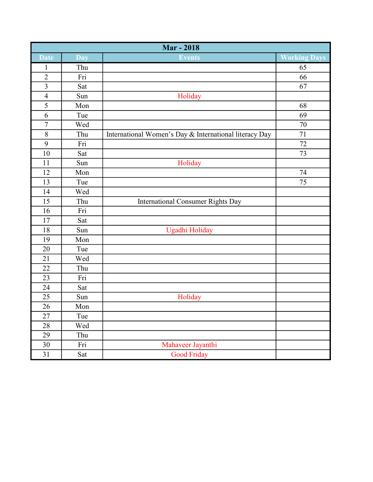| <b>Mar - 2018</b>       |     |                                                        |                     |
|-------------------------|-----|--------------------------------------------------------|---------------------|
| <b>Date</b>             | Day | <b>Events</b>                                          | <b>Working Days</b> |
| $\mathbf{1}$            | Thu |                                                        | 65                  |
| $\overline{2}$          | Fri |                                                        | 66                  |
| $\overline{\mathbf{3}}$ | Sat |                                                        | 67                  |
| $\overline{4}$          | Sun | Holiday                                                |                     |
| 5                       | Mon |                                                        | 68                  |
| $\overline{6}$          | Tue |                                                        | 69                  |
| $\overline{7}$          | Wed |                                                        | 70                  |
| $8\,$                   | Thu | International Women's Day & International literacy Day | $71\,$              |
| 9                       | Fri |                                                        | 72                  |
| $10\,$                  | Sat |                                                        | 73                  |
| 11                      | Sun | Holiday                                                |                     |
| 12                      | Mon |                                                        | 74                  |
| 13                      | Tue |                                                        | 75                  |
| 14                      | Wed |                                                        |                     |
| 15                      | Thu | International Consumer Rights Day                      |                     |
| 16                      | Fri |                                                        |                     |
| 17                      | Sat |                                                        |                     |
| $18\,$                  | Sun | Ugadhi Holiday                                         |                     |
| 19                      | Mon |                                                        |                     |
| 20                      | Tue |                                                        |                     |
| 21                      | Wed |                                                        |                     |
| $22\,$                  | Thu |                                                        |                     |
| 23                      | Fri |                                                        |                     |
| 24                      | Sat |                                                        |                     |
| 25                      | Sun | Holiday                                                |                     |
| 26                      | Mon |                                                        |                     |
| 27                      | Tue |                                                        |                     |
| 28                      | Wed |                                                        |                     |
| 29                      | Thu |                                                        |                     |
| 30                      | Fri | Mahaveer Jayanthi                                      |                     |
| 31                      | Sat | <b>Good Friday</b>                                     |                     |